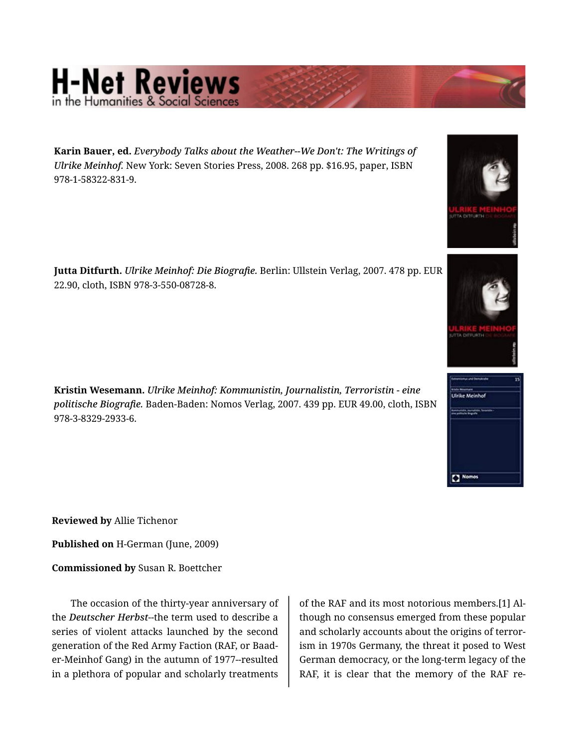## **H-Net Reviews**

22.90, cloth, ISBN 978-3-550-08728-8.

**Karin Bauer, ed.** *Everybody Talks about the Weather--We Don't: The Writings of Ulrike Meinhof.* New York: Seven Stories Press, 2008. 268 pp. \$16.95, paper, ISBN 978-1-58322-831-9.







**Kristin Wesemann.** *Ulrike Meinhof: Kommunistin, Journalistin, Terroristin - eine politische Biografie.* Baden-Baden: Nomos Verlag, 2007. 439 pp. EUR 49.00, cloth, ISBN 978-3-8329-2933-6.

**Reviewed by** Allie Tichenor

**Published on** H-German (June, 2009)

**Commissioned by** Susan R. Boettcher

The occasion of the thirty-year anniversary of the *Deutscher Herbst*--the term used to describe a series of violent attacks launched by the second generation of the Red Army Faction (RAF, or Baad‐ er-Meinhof Gang) in the autumn of 1977--resulted in a plethora of popular and scholarly treatments

of the RAF and its most notorious members.[1] Al‐ though no consensus emerged from these popular and scholarly accounts about the origins of terror‐ ism in 1970s Germany, the threat it posed to West German democracy, or the long-term legacy of the RAF, it is clear that the memory of the RAF re‐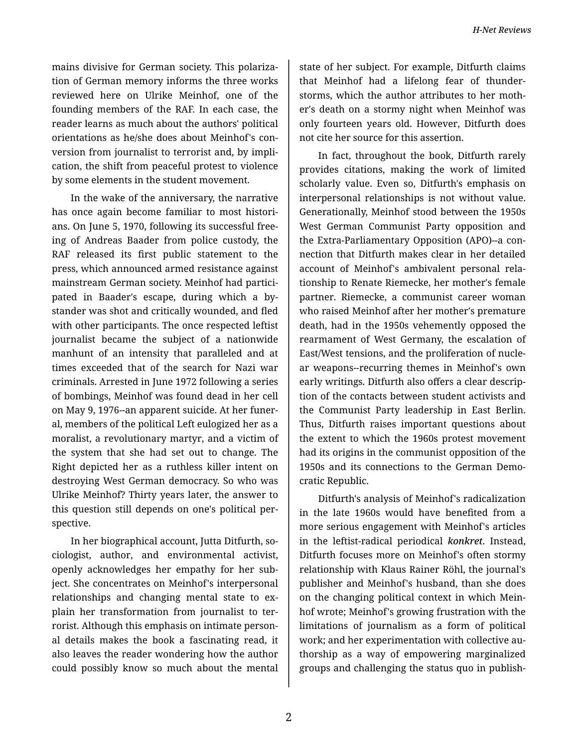mains divisive for German society. This polariza‐ tion of German memory informs the three works reviewed here on Ulrike Meinhof, one of the founding members of the RAF. In each case, the reader learns as much about the authors' political orientations as he/she does about Meinhof's con‐ version from journalist to terrorist and, by impli‐ cation, the shift from peaceful protest to violence by some elements in the student movement.

In the wake of the anniversary, the narrative has once again become familiar to most histori‐ ans. On June 5, 1970, following its successful free‐ ing of Andreas Baader from police custody, the RAF released its first public statement to the press, which announced armed resistance against mainstream German society. Meinhof had partici‐ pated in Baader's escape, during which a by‐ stander was shot and critically wounded, and fled with other participants. The once respected leftist journalist became the subject of a nationwide manhunt of an intensity that paralleled and at times exceeded that of the search for Nazi war criminals. Arrested in June 1972 following a series of bombings, Meinhof was found dead in her cell on May 9, 1976--an apparent suicide. At her funer‐ al, members of the political Left eulogized her as a moralist, a revolutionary martyr, and a victim of the system that she had set out to change. The Right depicted her as a ruthless killer intent on destroying West German democracy. So who was Ulrike Meinhof? Thirty years later, the answer to this question still depends on one's political per‐ spective.

In her biographical account, Jutta Ditfurth, so‐ ciologist, author, and environmental activist, openly acknowledges her empathy for her sub‐ ject. She concentrates on Meinhof's interpersonal relationships and changing mental state to explain her transformation from journalist to ter‐ rorist. Although this emphasis on intimate person‐ al details makes the book a fascinating read, it also leaves the reader wondering how the author could possibly know so much about the mental

state of her subject. For example, Ditfurth claims that Meinhof had a lifelong fear of thunder‐ storms, which the author attributes to her moth‐ er's death on a stormy night when Meinhof was only fourteen years old. However, Ditfurth does not cite her source for this assertion.

In fact, throughout the book, Ditfurth rarely provides citations, making the work of limited scholarly value. Even so, Ditfurth's emphasis on interpersonal relationships is not without value. Generationally, Meinhof stood between the 1950s West German Communist Party opposition and the Extra-Parliamentary Opposition (APO)--a con‐ nection that Ditfurth makes clear in her detailed account of Meinhof's ambivalent personal rela‐ tionship to Renate Riemecke, her mother's female partner. Riemecke, a communist career woman who raised Meinhof after her mother's premature death, had in the 1950s vehemently opposed the rearmament of West Germany, the escalation of East/West tensions, and the proliferation of nucle‐ ar weapons--recurring themes in Meinhof's own early writings. Ditfurth also offers a clear descrip‐ tion of the contacts between student activists and the Communist Party leadership in East Berlin. Thus, Ditfurth raises important questions about the extent to which the 1960s protest movement had its origins in the communist opposition of the 1950s and its connections to the German Demo‐ cratic Republic.

Ditfurth's analysis of Meinhof's radicalization in the late 1960s would have benefited from a more serious engagement with Meinhof's articles in the leftist-radical periodical *konkret*. Instead, Ditfurth focuses more on Meinhof's often stormy relationship with Klaus Rainer Röhl, the journal's publisher and Meinhof's husband, than she does on the changing political context in which Mein‐ hof wrote; Meinhof's growing frustration with the limitations of journalism as a form of political work; and her experimentation with collective au‐ thorship as a way of empowering marginalized groups and challenging the status quo in publish‐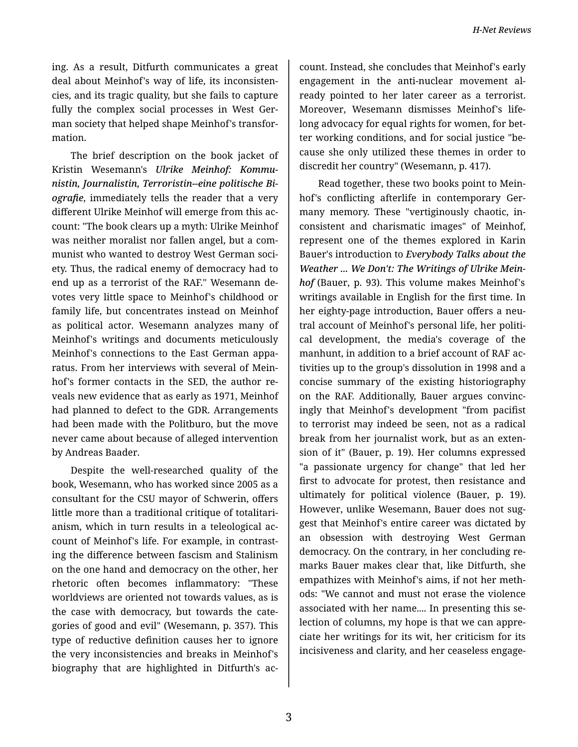ing. As a result, Ditfurth communicates a great deal about Meinhof's way of life, its inconsisten‐ cies, and its tragic quality, but she fails to capture fully the complex social processes in West German society that helped shape Meinhof's transfor‐ mation.

The brief description on the book jacket of Kristin Wesemann's *Ulrike Meinhof: Kommu‐ nistin, Journalistin, Terroristin--eine politische Bi‐ ografie*, immediately tells the reader that a very different Ulrike Meinhof will emerge from this ac‐ count: "The book clears up a myth: Ulrike Meinhof was neither moralist nor fallen angel, but a com‐ munist who wanted to destroy West German soci‐ ety. Thus, the radical enemy of democracy had to end up as a terrorist of the RAF." Wesemann de‐ votes very little space to Meinhof's childhood or family life, but concentrates instead on Meinhof as political actor. Wesemann analyzes many of Meinhof's writings and documents meticulously Meinhof's connections to the East German appa‐ ratus. From her interviews with several of Mein‐ hof's former contacts in the SED, the author re‐ veals new evidence that as early as 1971, Meinhof had planned to defect to the GDR. Arrangements had been made with the Politburo, but the move never came about because of alleged intervention by Andreas Baader.

Despite the well-researched quality of the book, Wesemann, who has worked since 2005 as a consultant for the CSU mayor of Schwerin, offers little more than a traditional critique of totalitari‐ anism, which in turn results in a teleological ac‐ count of Meinhof's life. For example, in contrast‐ ing the difference between fascism and Stalinism on the one hand and democracy on the other, her rhetoric often becomes inflammatory: "These worldviews are oriented not towards values, as is the case with democracy, but towards the cate‐ gories of good and evil" (Wesemann, p. 357). This type of reductive definition causes her to ignore the very inconsistencies and breaks in Meinhof's biography that are highlighted in Ditfurth's ac‐

count. Instead, she concludes that Meinhof's early engagement in the anti-nuclear movement al‐ ready pointed to her later career as a terrorist. Moreover, Wesemann dismisses Meinhof's life‐ long advocacy for equal rights for women, for bet‐ ter working conditions, and for social justice "be‐ cause she only utilized these themes in order to discredit her country" (Wesemann, p. 417).

Read together, these two books point to Mein‐ hof's conflicting afterlife in contemporary Ger‐ many memory. These "vertiginously chaotic, in‐ consistent and charismatic images" of Meinhof, represent one of the themes explored in Karin Bauer's introduction to *Everybody Talks about the Weather ... We Don't: The Writings of Ulrike Mein‐ hof* (Bauer, p. 93). This volume makes Meinhof's writings available in English for the first time. In her eighty-page introduction, Bauer offers a neu‐ tral account of Meinhof's personal life, her politi‐ cal development, the media's coverage of the manhunt, in addition to a brief account of RAF ac‐ tivities up to the group's dissolution in 1998 and a concise summary of the existing historiography on the RAF. Additionally, Bauer argues convinc‐ ingly that Meinhof's development "from pacifist to terrorist may indeed be seen, not as a radical break from her journalist work, but as an exten‐ sion of it" (Bauer, p. 19). Her columns expressed "a passionate urgency for change" that led her first to advocate for protest, then resistance and ultimately for political violence (Bauer, p. 19). However, unlike Wesemann, Bauer does not suggest that Meinhof's entire career was dictated by an obsession with destroying West German democracy. On the contrary, in her concluding re‐ marks Bauer makes clear that, like Ditfurth, she empathizes with Meinhof's aims, if not her meth‐ ods: "We cannot and must not erase the violence associated with her name.... In presenting this se‐ lection of columns, my hope is that we can appre‐ ciate her writings for its wit, her criticism for its incisiveness and clarity, and her ceaseless engage‐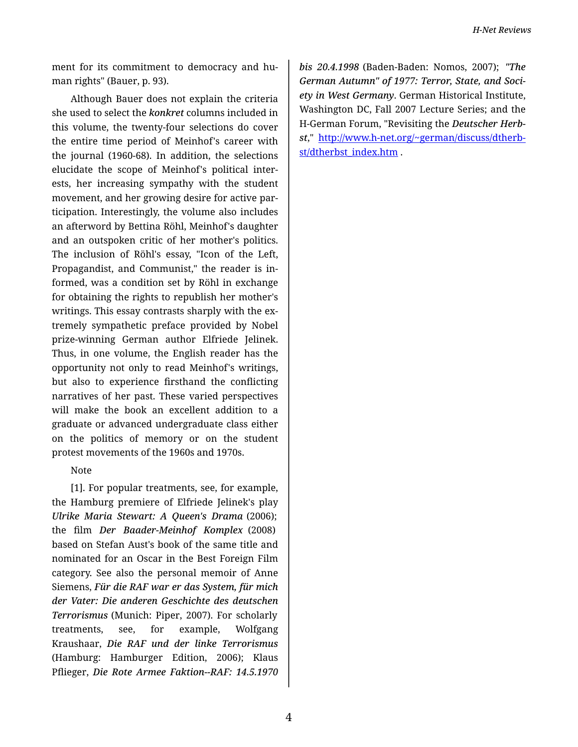ment for its commitment to democracy and hu‐ man rights" (Bauer, p. 93).

Although Bauer does not explain the criteria she used to select the *konkret* columns included in this volume, the twenty-four selections do cover the entire time period of Meinhof's career with the journal (1960-68). In addition, the selections elucidate the scope of Meinhof's political inter‐ ests, her increasing sympathy with the student movement, and her growing desire for active par‐ ticipation. Interestingly, the volume also includes an afterword by Bettina Röhl, Meinhof's daughter and an outspoken critic of her mother's politics. The inclusion of Röhl's essay, "Icon of the Left, Propagandist, and Communist," the reader is in‐ formed, was a condition set by Röhl in exchange for obtaining the rights to republish her mother's writings. This essay contrasts sharply with the extremely sympathetic preface provided by Nobel prize-winning German author Elfriede Jelinek. Thus, in one volume, the English reader has the opportunity not only to read Meinhof's writings, but also to experience firsthand the conflicting narratives of her past. These varied perspectives will make the book an excellent addition to a graduate or advanced undergraduate class either on the politics of memory or on the student protest movements of the 1960s and 1970s.

## Note

[1]. For popular treatments, see, for example, the Hamburg premiere of Elfriede Jelinek's play *Ulrike Maria Stewart: A Queen's Drama* (2006); the film *Der Baader-Meinhof Komplex* (2008) based on Stefan Aust's book of the same title and nominated for an Oscar in the Best Foreign Film category. See also the personal memoir of Anne Siemens, *Für die RAF war er das System, für mich der Vater: Die anderen Geschichte des deutschen Terrorismus* (Munich: Piper, 2007). For scholarly treatments, see, for example, Wolfgang Kraushaar, *Die RAF und der linke Terrorismus* (Hamburg: Hamburger Edition, 2006); Klaus Pflieger, *Die Rote Armee Faktion--RAF: 14.5.1970*

*bis 20.4.1998* (Baden-Baden: Nomos, 2007); *"The German Autumn" of 1977: Terror, State, and Soci‐ ety in West Germany*. German Historical Institute, Washington DC, Fall 2007 Lecture Series; and the H-German Forum, "Revisiting the *Deutscher Herb‐ st*," [http://www.h-net.org/~german/discuss/dtherb](http://www.h-net.org/~german/discuss/dtherbst/dtherbst_index.htm)‐ [st/dtherbst\\_index.htm](http://www.h-net.org/~german/discuss/dtherbst/dtherbst_index.htm) .